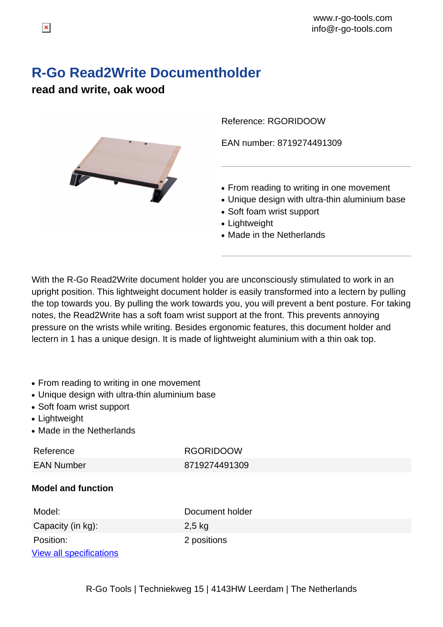# **R-Go Read2Write Documentholder**

## **read and write, oak wood**



Reference: RGORIDOOW

EAN number: 8719274491309

- From reading to writing in one movement
- Unique design with ultra-thin aluminium base
- Soft foam wrist support
- Lightweight
- Made in the Netherlands

With the R-Go Read2Write document holder you are unconsciously stimulated to work in an upright position. This lightweight document holder is easily transformed into a lectern by pulling the top towards you. By pulling the work towards you, you will prevent a bent posture. For taking notes, the Read2Write has a soft foam wrist support at the front. This prevents annoying pressure on the wrists while writing. Besides ergonomic features, this document holder and lectern in 1 has a unique design. It is made of lightweight aluminium with a thin oak top.

- From reading to writing in one movement
- Unique design with ultra-thin aluminium base
- Soft foam wrist support
- Lightweight
- Made in the Netherlands

Reference RGORIDOOW EAN Number 8719274491309

#### **Model and function**

| Model:                         | Document holder |
|--------------------------------|-----------------|
| Capacity (in kg):              | $2,5$ kg        |
| Position:                      | 2 positions     |
| <b>View all specifications</b> |                 |